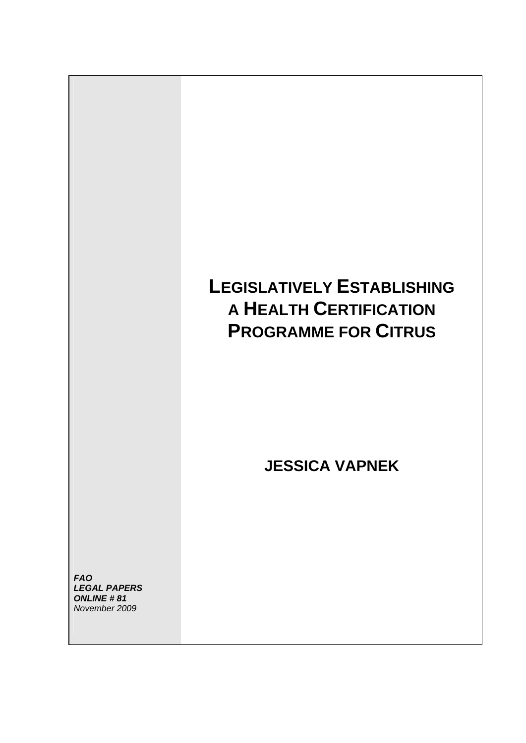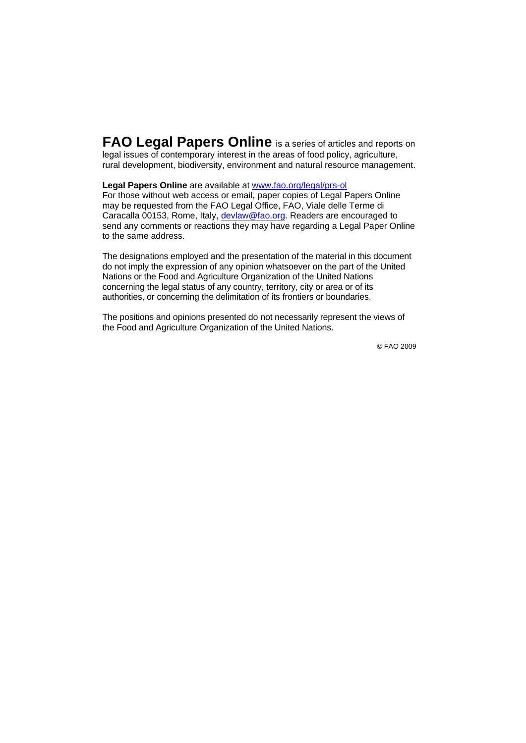**FAO Legal Papers Online** is a series of articles and reports on legal issues of contemporary interest in the areas of food policy, agriculture, rural development, biodiversity, environment and natural resource management.

#### **Legal Papers Online** are available at www.fao.org/legal/prs-ol

For those without web access or email, paper copies of Legal Papers Online may be requested from the FAO Legal Office, FAO, Viale delle Terme di Caracalla 00153, Rome, Italy, devlaw@fao.org. Readers are encouraged to send any comments or reactions they may have regarding a Legal Paper Online to the same address.

The designations employed and the presentation of the material in this document do not imply the expression of any opinion whatsoever on the part of the United Nations or the Food and Agriculture Organization of the United Nations concerning the legal status of any country, territory, city or area or of its authorities, or concerning the delimitation of its frontiers or boundaries.

The positions and opinions presented do not necessarily represent the views of the Food and Agriculture Organization of the United Nations.

© FAO 2009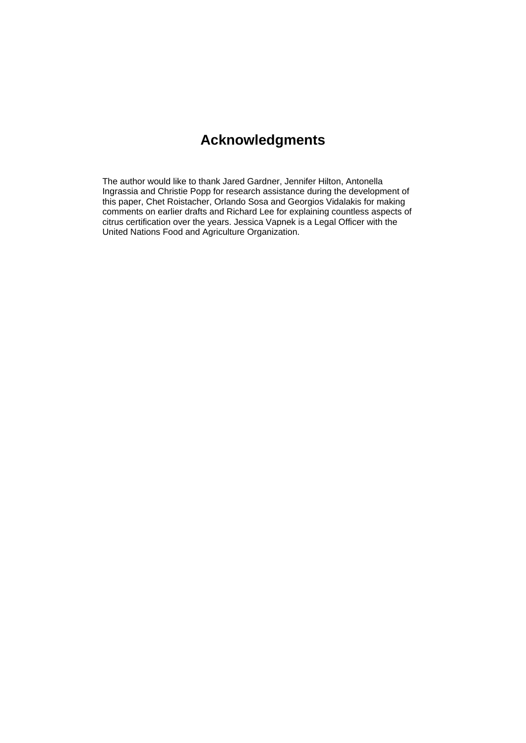## **Acknowledgments**

The author would like to thank Jared Gardner, Jennifer Hilton, Antonella Ingrassia and Christie Popp for research assistance during the development of this paper, Chet Roistacher, Orlando Sosa and Georgios Vidalakis for making comments on earlier drafts and Richard Lee for explaining countless aspects of citrus certification over the years. Jessica Vapnek is a Legal Officer with the United Nations Food and Agriculture Organization.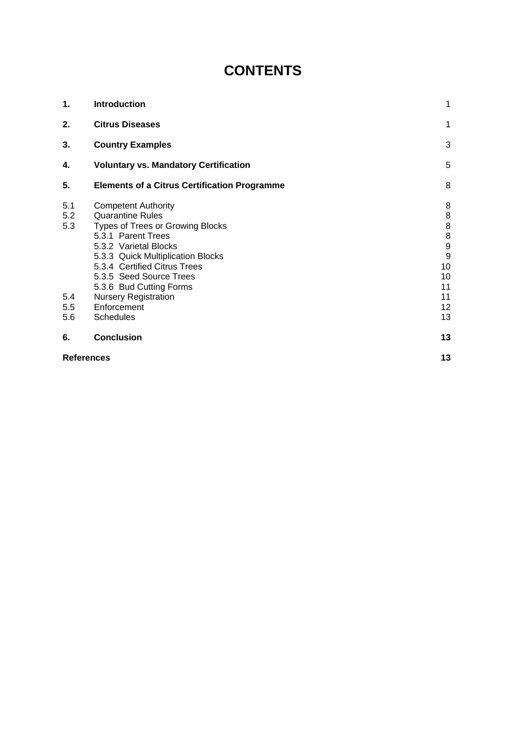# **CONTENTS**

| 1.                | Introduction                                                                                                                                                                                                                                                        | 1                                                                          |
|-------------------|---------------------------------------------------------------------------------------------------------------------------------------------------------------------------------------------------------------------------------------------------------------------|----------------------------------------------------------------------------|
| 2.                | <b>Citrus Diseases</b>                                                                                                                                                                                                                                              | 1                                                                          |
| 3.                | <b>Country Examples</b>                                                                                                                                                                                                                                             | 3                                                                          |
| 4.                | <b>Voluntary vs. Mandatory Certification</b>                                                                                                                                                                                                                        | 5                                                                          |
| 5.                | <b>Elements of a Citrus Certification Programme</b>                                                                                                                                                                                                                 | 8                                                                          |
| 5.1<br>5.2<br>5.3 | <b>Competent Authority</b><br><b>Quarantine Rules</b><br>Types of Trees or Growing Blocks<br>5.3.1 Parent Trees<br>5.3.2 Varietal Blocks<br>5.3.3 Quick Multiplication Blocks<br>5.3.4 Certified Citrus Trees<br>5.3.5 Seed Source Trees<br>5.3.6 Bud Cutting Forms | 8<br>$\,8\,$<br>$\bf8$<br>$\bf 8$<br>$\overline{9}$<br>9<br>10<br>10<br>11 |
| 5.4               | <b>Nursery Registration</b>                                                                                                                                                                                                                                         | 11                                                                         |
| 5.5<br>5.6        | Enforcement<br><b>Schedules</b>                                                                                                                                                                                                                                     | $12 \overline{ }$<br>13                                                    |
| 6.                | <b>Conclusion</b>                                                                                                                                                                                                                                                   | 13                                                                         |
| <b>References</b> |                                                                                                                                                                                                                                                                     |                                                                            |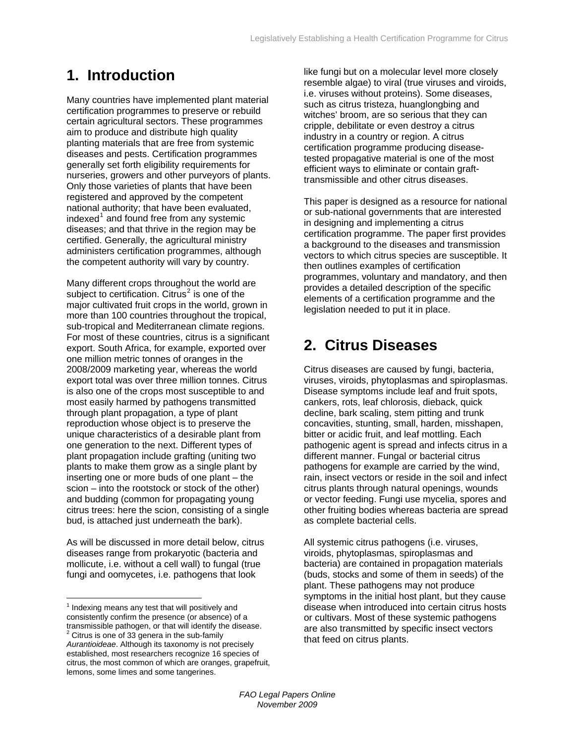# **1. Introduction**

Many countries have implemented plant material certification programmes to preserve or rebuild certain agricultural sectors. These programmes aim to produce and distribute high quality planting materials that are free from systemic diseases and pests. Certification programmes generally set forth eligibility requirements for nurseries, growers and other purveyors of plants. Only those varieties of plants that have been registered and approved by the competent national authority; that have been evaluated, indexed $^1$  $^1$  and found free from any systemic diseases; and that thrive in the region may be certified. Generally, the agricultural ministry administers certification programmes, although the competent authority will vary by country.

For most of these countries, citrus is a significant Many different crops throughout the world are subject to certification. Citrus<sup>[2](#page-4-1)</sup> is one of the major cultivated fruit crops in the world, grown in more than 100 countries throughout the tropical, sub-tropical and Mediterranean climate regions. export. South Africa, for example, exported over one million metric tonnes of oranges in the 2008/2009 marketing year, whereas the world export total was over three million tonnes. Citrus is also one of the crops most susceptible to and most easily harmed by pathogens transmitted through plant propagation, a type of plant reproduction whose object is to preserve the unique characteristics of a desirable plant from one generation to the next. Different types of plant propagation include grafting (uniting two plants to make them grow as a single plant by inserting one or more buds of one plant – the scion – into the rootstock or stock of the other) and budding (common for propagating young citrus trees: here the scion, consisting of a single bud, is attached just underneath the bark).

As will be discussed in more detail below, citrus diseases range from prokaryotic (bacteria and mollicute, i.e. without a cell wall) to fungal (true fungi and oomycetes, i.e. pathogens that look

 $\overline{a}$ 

like fungi but on a molecular level more closely resemble algae) to viral (true viruses and viroids, i.e. viruses without proteins). Some diseases, such as citrus tristeza, huanglongbing and witches' broom, are so serious that they can cripple, debilitate or even destroy a citrus industry in a country or region. A citrus certification programme producing diseasetested propagative material is one of the most efficient ways to eliminate or contain grafttransmissible and other citrus diseases.

This paper is designed as a resource for national or sub-national governments that are interested in designing and implementing a citrus certification programme. The paper first provides a background to the diseases and transmission vectors to which citrus species are susceptible. It then outlines examples of certification programmes, voluntary and mandatory, and then provides a detailed description of the specific elements of a certification programme and the legislation needed to put it in place.

# **2. Citrus Diseases**

Citrus diseases are caused by fungi, bacteria, viruses, viroids, phytoplasmas and spiroplasmas. Disease symptoms include leaf and fruit spots, cankers, rots, leaf chlorosis, dieback, quick decline, bark scaling, stem pitting and trunk concavities, stunting, small, harden, misshapen, bitter or acidic fruit, and leaf mottling. Each pathogenic agent is spread and infects citrus in a different manner. Fungal or bacterial citrus pathogens for example are carried by the wind, rain, insect vectors or reside in the soil and infect citrus plants through natural openings, wounds or vector feeding. Fungi use mycelia, spores and other fruiting bodies whereas bacteria are spread as complete bacterial cells.

All systemic citrus pathogens (i.e. viruses, viroids, phytoplasmas, spiroplasmas and bacteria) are contained in propagation materials (buds, stocks and some of them in seeds) of the plant. These pathogens may not produce symptoms in the initial host plant, but they cause disease when introduced into certain citrus hosts or cultivars. Most of these systemic pathogens are also transmitted by specific insect vectors that feed on citrus plants.

<span id="page-4-1"></span><span id="page-4-0"></span> $1$  Indexing means any test that will positively and consistently confirm the presence (or absence) of a transmissible pathogen, or that will identify the disease. 2  $2$  Citrus is one of 33 genera in the sub-family *Aurantioideae*. Although its taxonomy is not precisely established, most researchers recognize 16 species of citrus, the most common of which are oranges, grapefruit, lemons, some limes and some tangerines.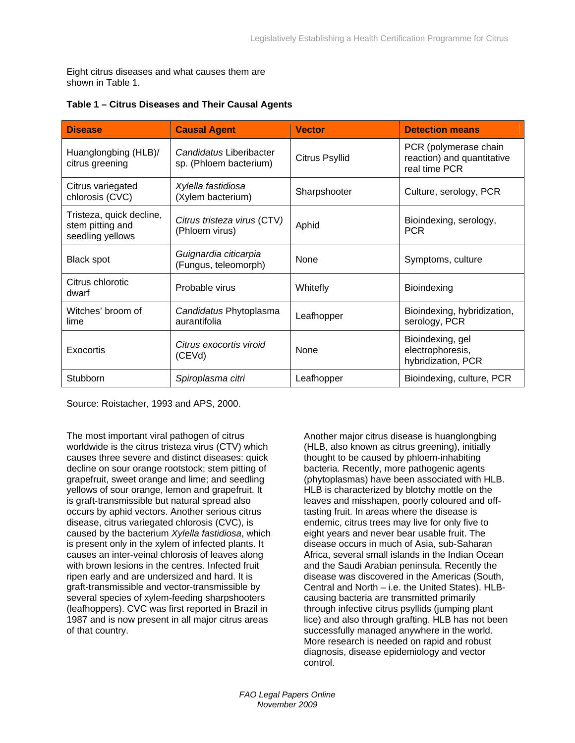Eight citrus diseases and what causes them are shown in Table 1.

| <b>Disease</b>                                                   | <b>Causal Agent</b>                               | <b>Vector</b>         | <b>Detection means</b>                                               |
|------------------------------------------------------------------|---------------------------------------------------|-----------------------|----------------------------------------------------------------------|
| Huanglongbing (HLB)/<br>citrus greening                          | Candidatus Liberibacter<br>sp. (Phloem bacterium) | <b>Citrus Psyllid</b> | PCR (polymerase chain<br>reaction) and quantitative<br>real time PCR |
| Citrus variegated<br>chlorosis (CVC)                             | Xylella fastidiosa<br>(Xylem bacterium)           | Sharpshooter          | Culture, serology, PCR                                               |
| Tristeza, quick decline,<br>stem pitting and<br>seedling yellows | Citrus tristeza virus (CTV)<br>(Phloem virus)     | Aphid                 | Bioindexing, serology,<br><b>PCR</b>                                 |
| <b>Black spot</b>                                                | Guignardia citicarpia<br>(Fungus, teleomorph)     | None                  | Symptoms, culture                                                    |
| Citrus chlorotic<br>dwarf                                        | Probable virus                                    | Whitefly              | <b>Bioindexing</b>                                                   |
| Witches' broom of<br>lime                                        | Candidatus Phytoplasma<br>aurantifolia            | Leafhopper            | Bioindexing, hybridization,<br>serology, PCR                         |
| Exocortis                                                        | Citrus exocortis viroid<br>(CEVd)                 | None                  | Bioindexing, gel<br>electrophoresis,<br>hybridization, PCR           |
| Stubborn                                                         | Spiroplasma citri                                 | Leafhopper            | Bioindexing, culture, PCR                                            |

#### **Table 1 – Citrus Diseases and Their Causal Agents**

Source: Roistacher, 1993 and APS, 2000.

The most important viral pathogen of citrus worldwide is the citrus tristeza virus (CTV) which causes three severe and distinct diseases: quick decline on sour orange rootstock; stem pitting of grapefruit, sweet orange and lime; and seedling yellows of sour orange, lemon and grapefruit. It is graft-transmissible but natural spread also occurs by aphid vectors. Another serious citrus disease, citrus variegated chlorosis (CVC), is caused by the bacterium *Xylella fastidiosa*, which is present only in the xylem of infected plants. It causes an inter-veinal chlorosis of leaves along with brown lesions in the centres. Infected fruit ripen early and are undersized and hard. It is graft-transmissible and vector-transmissible by several species of xylem-feeding sharpshooters (leafhoppers). CVC was first reported in Brazil in 1987 and is now present in all major citrus areas of that country.

Another major citrus disease is huanglongbing (HLB, also known as citrus greening), initially thought to be caused by phloem-inhabiting bacteria. Recently, more pathogenic agents (phytoplasmas) have been associated with HLB. HLB is characterized by blotchy mottle on the leaves and misshapen, poorly coloured and offtasting fruit. In areas where the disease is endemic, citrus trees may live for only five to eight years and never bear usable fruit. The disease occurs in much of Asia, sub-Saharan Africa, several small islands in the Indian Ocean and the Saudi Arabian peninsula. Recently the disease was discovered in the Americas (South, Central and North – i.e. the United States). HLBcausing bacteria are transmitted primarily through infective citrus psyllids (jumping plant lice) and also through grafting. HLB has not been successfully managed anywhere in the world. More research is needed on rapid and robust diagnosis, disease epidemiology and vector control.

*FAO Legal Papers Online November 2009*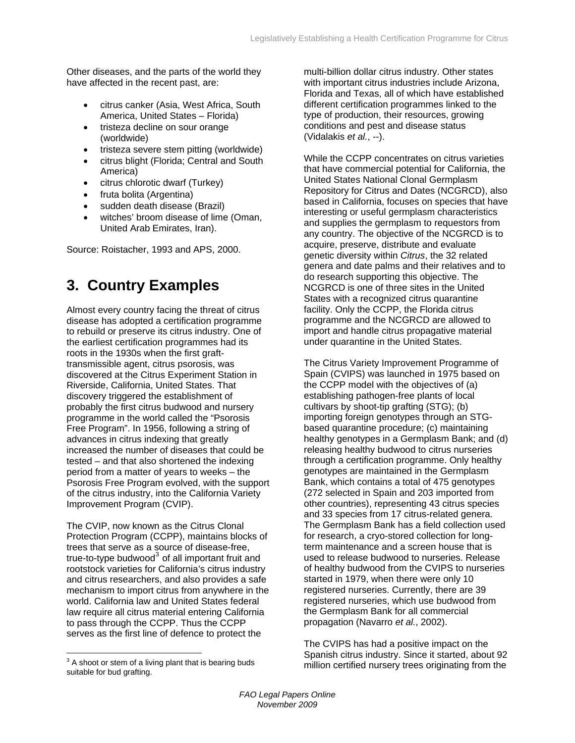<span id="page-6-0"></span>Other diseases, and the parts of the world they have affected in the recent past, are:

- citrus canker (Asia, West Africa, South America, United States – Florida)
- tristeza decline on sour orange (worldwide)
- tristeza severe stem pitting (worldwide)
- citrus blight (Florida; Central and South America)
- citrus chlorotic dwarf (Turkey)
- fruta bolita (Argentina)
- sudden death disease (Brazil)
- witches' broom disease of lime (Oman, United Arab Emirates, Iran).

Source: Roistacher, 1993 and APS, 2000.

## **3. Country Examples**

Almost every country facing the threat of citrus disease has adopted a certification programme to rebuild or preserve its citrus industry. One of the earliest certification programmes had its roots in the 1930s when the first grafttransmissible agent, citrus psorosis, was discovered at the Citrus Experiment Station in Riverside, California, United States. That discovery triggered the establishment of probably the first citrus budwood and nursery programme in the world called the "Psorosis Free Program". In 1956, following a string of advances in citrus indexing that greatly increased the number of diseases that could be tested – and that also shortened the indexing period from a matter of years to weeks – the Psorosis Free Program evolved, with the support of the citrus industry, into the California Variety Improvement Program (CVIP).

The CVIP, now known as the Citrus Clonal Protection Program (CCPP), maintains blocks of trees that serve as a source of disease-free, true-to-type budwood $^3$  $^3$  of all important fruit and rootstock varieties for California's citrus industry and citrus researchers, and also provides a safe mechanism to import citrus from anywhere in the world. California law and United States federal law require all citrus material entering California to pass through the CCPP. Thus the CCPP serves as the first line of defence to protect the

 $\overline{a}$ 

multi-billion dollar citrus industry. Other states with important citrus industries include Arizona, Florida and Texas, all of which have established different certification programmes linked to the type of production, their resources, growing conditions and pest and disease status (Vidalakis *et al.*, --).

While the CCPP concentrates on citrus varieties that have commercial potential for California, the United States National Clonal Germplasm Repository for Citrus and Dates (NCGRCD), also based in California, focuses on species that have interesting or useful germplasm characteristics and supplies the germplasm to requestors from any country. The objective of the NCGRCD is to acquire, preserve, distribute and evaluate genetic diversity within *Citrus*, the 32 related genera and date palms and their relatives and to do research supporting this objective. The NCGRCD is one of three sites in the United States with a recognized citrus quarantine facility. Only the CCPP, the Florida citrus programme and the NCGRCD are allowed to import and handle citrus propagative material under quarantine in the United States.

The Citrus Variety Improvement Programme of Spain (CVIPS) was launched in 1975 based on the CCPP model with the objectives of (a) establishing pathogen-free plants of local cultivars by shoot-tip grafting (STG); (b) importing foreign genotypes through an STGbased quarantine procedure; (c) maintaining healthy genotypes in a Germplasm Bank; and (d) releasing healthy budwood to citrus nurseries through a certification programme. Only healthy genotypes are maintained in the Germplasm Bank, which contains a total of 475 genotypes (272 selected in Spain and 203 imported from other countries), representing 43 citrus species and 33 species from 17 citrus-related genera. The Germplasm Bank has a field collection used for research, a cryo-stored collection for longterm maintenance and a screen house that is used to release budwood to nurseries. Release of healthy budwood from the CVIPS to nurseries started in 1979, when there were only 10 registered nurseries. Currently, there are 39 registered nurseries, which use budwood from the Germplasm Bank for all commercial propagation (Navarro *et al.*, 2002).

The CVIPS has had a positive impact on the Spanish citrus industry. Since it started, about 92 million certified nursery trees originating from the

<span id="page-6-1"></span> $3$  A shoot or stem of a living plant that is bearing buds suitable for bud grafting.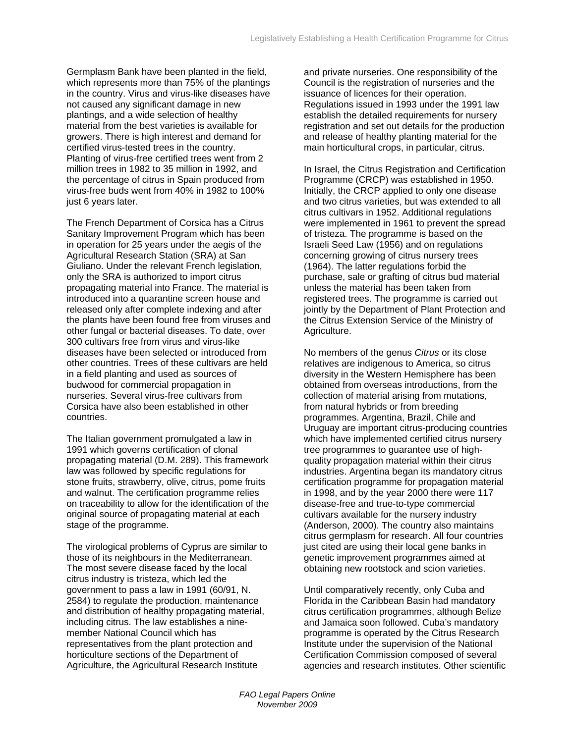Germplasm Bank have been planted in the field, which represents more than 75% of the plantings in the country. Virus and virus-like diseases have not caused any significant damage in new plantings, and a wide selection of healthy material from the best varieties is available for growers. There is high interest and demand for certified virus-tested trees in the country. Planting of virus-free certified trees went from 2 million trees in 1982 to 35 million in 1992, and the percentage of citrus in Spain produced from virus-free buds went from 40% in 1982 to 100% just 6 years later.

The French Department of Corsica has a Citrus Sanitary Improvement Program which has been in operation for 25 years under the aegis of the Agricultural Research Station (SRA) at San Giuliano. Under the relevant French legislation, only the SRA is authorized to import citrus propagating material into France. The material is introduced into a quarantine screen house and released only after complete indexing and after the plants have been found free from viruses and other fungal or bacterial diseases. To date, over 300 cultivars free from virus and virus-like diseases have been selected or introduced from other countries. Trees of these cultivars are held in a field planting and used as sources of budwood for commercial propagation in nurseries. Several virus-free cultivars from Corsica have also been established in other countries.

The Italian government promulgated a law in 1991 which governs certification of clonal propagating material (D.M. 289). This framework law was followed by specific regulations for stone fruits, strawberry, olive, citrus, pome fruits and walnut. The certification programme relies on traceability to allow for the identification of the original source of propagating material at each stage of the programme.

The virological problems of Cyprus are similar to those of its neighbours in the Mediterranean. The most severe disease faced by the local citrus industry is tristeza, which led the government to pass a law in 1991 (60/91, N. 2584) to regulate the production, maintenance and distribution of healthy propagating material, including citrus. The law establishes a ninemember National Council which has representatives from the plant protection and horticulture sections of the Department of Agriculture, the Agricultural Research Institute

and private nurseries. One responsibility of the Council is the registration of nurseries and the issuance of licences for their operation. Regulations issued in 1993 under the 1991 law establish the detailed requirements for nursery registration and set out details for the production and release of healthy planting material for the main horticultural crops, in particular, citrus.

In Israel, the Citrus Registration and Certification Programme (CRCP) was established in 1950. Initially, the CRCP applied to only one disease and two citrus varieties, but was extended to all citrus cultivars in 1952. Additional regulations were implemented in 1961 to prevent the spread of tristeza. The programme is based on the Israeli Seed Law (1956) and on regulations concerning growing of citrus nursery trees (1964). The latter regulations forbid the purchase, sale or grafting of citrus bud material unless the material has been taken from registered trees. The programme is carried out jointly by the Department of Plant Protection and the Citrus Extension Service of the Ministry of Agriculture.

No members of the genus *Citrus* or its close relatives are indigenous to America, so citrus diversity in the Western Hemisphere has been obtained from overseas introductions, from the collection of material arising from mutations, from natural hybrids or from breeding programmes. Argentina, Brazil, Chile and Uruguay are important citrus-producing countries which have implemented certified citrus nursery tree programmes to guarantee use of highquality propagation material within their citrus industries. Argentina began its mandatory citrus certification programme for propagation material in 1998, and by the year 2000 there were 117 disease-free and true-to-type commercial cultivars available for the nursery industry (Anderson, 2000). The country also maintains citrus germplasm for research. All four countries just cited are using their local gene banks in genetic improvement programmes aimed at obtaining new rootstock and scion varieties.

Until comparatively recently, only Cuba and Florida in the Caribbean Basin had mandatory citrus certification programmes, although Belize and Jamaica soon followed. Cuba's mandatory programme is operated by the Citrus Research Institute under the supervision of the National Certification Commission composed of several agencies and research institutes. Other scientific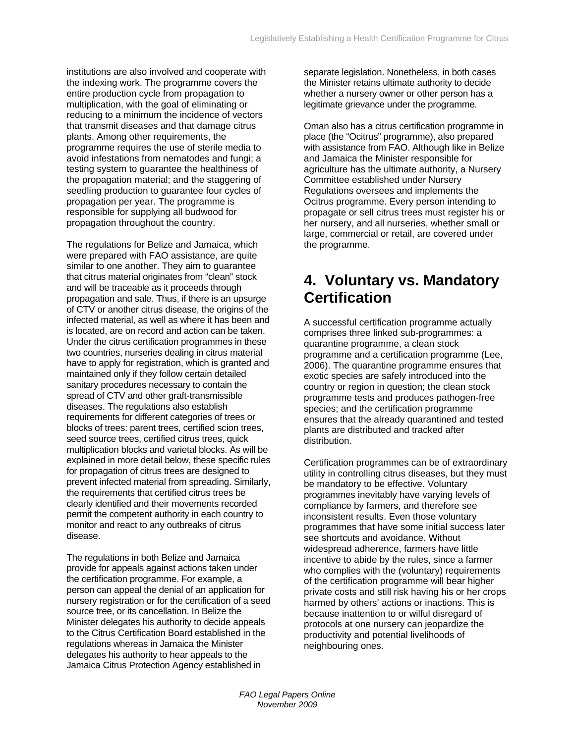<span id="page-8-0"></span>institutions are also involved and cooperate with the indexing work. The programme covers the entire production cycle from propagation to multiplication, with the goal of eliminating or reducing to a minimum the incidence of vectors that transmit diseases and that damage citrus plants. Among other requirements, the programme requires the use of sterile media to avoid infestations from nematodes and fungi; a testing system to guarantee the healthiness of the propagation material; and the staggering of seedling production to guarantee four cycles of propagation per year. The programme is responsible for supplying all budwood for propagation throughout the country.

The regulations for Belize and Jamaica, which were prepared with FAO assistance, are quite similar to one another. They aim to guarantee that citrus material originates from "clean" stock and will be traceable as it proceeds through propagation and sale. Thus, if there is an upsurge of CTV or another citrus disease, the origins of the infected material, as well as where it has been and is located, are on record and action can be taken. Under the citrus certification programmes in these two countries, nurseries dealing in citrus material have to apply for registration, which is granted and maintained only if they follow certain detailed sanitary procedures necessary to contain the spread of CTV and other graft-transmissible diseases. The regulations also establish requirements for different categories of trees or blocks of trees: parent trees, certified scion trees, seed source trees, certified citrus trees, quick multiplication blocks and varietal blocks. As will be explained in more detail below, these specific rules for propagation of citrus trees are designed to prevent infected material from spreading. Similarly, the requirements that certified citrus trees be clearly identified and their movements recorded permit the competent authority in each country to monitor and react to any outbreaks of citrus disease.

The regulations in both Belize and Jamaica provide for appeals against actions taken under the certification programme. For example, a person can appeal the denial of an application for nursery registration or for the certification of a seed source tree, or its cancellation. In Belize the Minister delegates his authority to decide appeals to the Citrus Certification Board established in the regulations whereas in Jamaica the Minister delegates his authority to hear appeals to the Jamaica Citrus Protection Agency established in

separate legislation. Nonetheless, in both cases the Minister retains ultimate authority to decide whether a nursery owner or other person has a legitimate grievance under the programme.

Oman also has a citrus certification programme in place (the "Ocitrus" programme), also prepared with assistance from FAO. Although like in Belize and Jamaica the Minister responsible for agriculture has the ultimate authority, a Nursery Committee established under Nursery Regulations oversees and implements the Ocitrus programme. Every person intending to propagate or sell citrus trees must register his or her nursery, and all nurseries, whether small or large, commercial or retail, are covered under the programme.

## **4. Voluntary vs. Mandatory Certification**

A successful certification programme actually comprises three linked sub-programmes: a quarantine programme, a clean stock programme and a certification programme (Lee, 2006). The quarantine programme ensures that exotic species are safely introduced into the country or region in question; the clean stock programme tests and produces pathogen-free species; and the certification programme ensures that the already quarantined and tested plants are distributed and tracked after distribution.

Certification programmes can be of extraordinary utility in controlling citrus diseases, but they must be mandatory to be effective. Voluntary programmes inevitably have varying levels of compliance by farmers, and therefore see inconsistent results. Even those voluntary programmes that have some initial success later see shortcuts and avoidance. Without widespread adherence, farmers have little incentive to abide by the rules, since a farmer who complies with the (voluntary) requirements of the certification programme will bear higher private costs and still risk having his or her crops harmed by others' actions or inactions. This is because inattention to or wilful disregard of protocols at one nursery can jeopardize the productivity and potential livelihoods of neighbouring ones.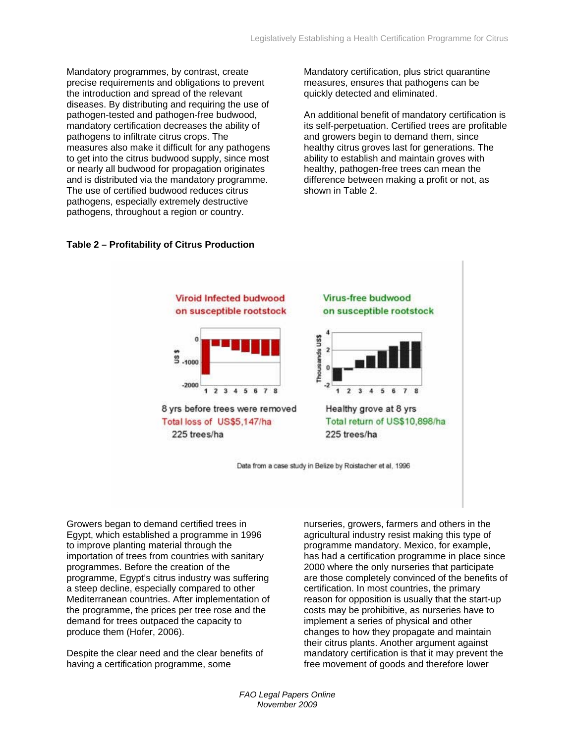Mandatory programmes, by contrast, create precise requirements and obligations to prevent the introduction and spread of the relevant diseases. By distributing and requiring the use of pathogen-tested and pathogen-free budwood, mandatory certification decreases the ability of pathogens to infiltrate citrus crops. The measures also make it difficult for any pathogens to get into the citrus budwood supply, since most or nearly all budwood for propagation originates and is distributed via the mandatory programme. The use of certified budwood reduces citrus pathogens, especially extremely destructive pathogens, throughout a region or country.

Mandatory certification, plus strict quarantine measures, ensures that pathogens can be quickly detected and eliminated.

An additional benefit of mandatory certification is its self-perpetuation. Certified trees are profitable and growers begin to demand them, since healthy citrus groves last for generations. The ability to establish and maintain groves with healthy, pathogen-free trees can mean the difference between making a profit or not, as shown in Table 2.



### **Table 2 – Profitability of Citrus Production**

Growers began to demand certified trees in Egypt, which established a programme in 1996 to improve planting material through the importation of trees from countries with sanitary programmes. Before the creation of the programme, Egypt's citrus industry was suffering a steep decline, especially compared to other Mediterranean countries. After implementation of the programme, the prices per tree rose and the demand for trees outpaced the capacity to produce them (Hofer, 2006).

Despite the clear need and the clear benefits of having a certification programme, some

nurseries, growers, farmers and others in the agricultural industry resist making this type of programme mandatory. Mexico, for example, has had a certification programme in place since 2000 where the only nurseries that participate are those completely convinced of the benefits of certification. In most countries, the primary reason for opposition is usually that the start-up costs may be prohibitive, as nurseries have to implement a series of physical and other changes to how they propagate and maintain their citrus plants. Another argument against mandatory certification is that it may prevent the free movement of goods and therefore lower

*FAO Legal Papers Online November 2009*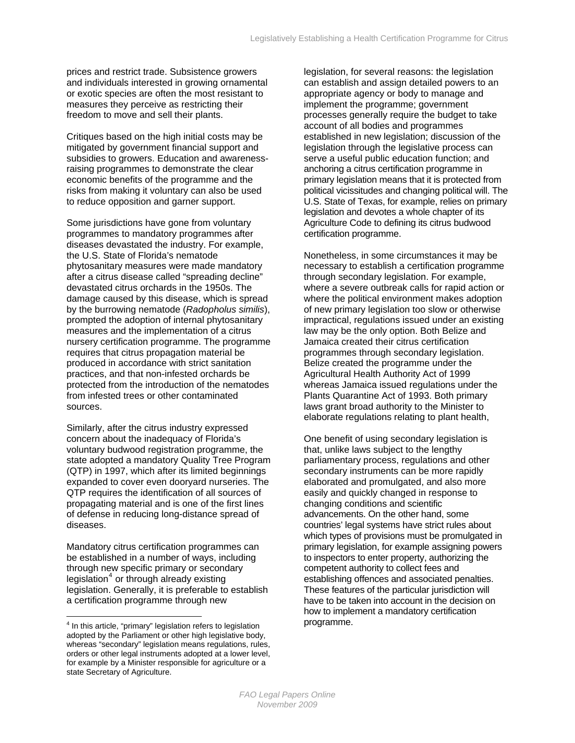prices and restrict trade. Subsistence growers and individuals interested in growing ornamental or exotic species are often the most resistant to measures they perceive as restricting their freedom to move and sell their plants.

Critiques based on the high initial costs may be mitigated by government financial support and subsidies to growers. Education and awarenessraising programmes to demonstrate the clear economic benefits of the programme and the risks from making it voluntary can also be used to reduce opposition and garner support.

Some jurisdictions have gone from voluntary programmes to mandatory programmes after diseases devastated the industry. For example, the U.S. State of Florida's nematode phytosanitary measures were made mandatory after a citrus disease called "spreading decline" devastated citrus orchards in the 1950s. The damage caused by this disease, which is spread by the burrowing nematode (*Radopholus similis*), prompted the adoption of internal phytosanitary measures and the implementation of a citrus nursery certification programme. The programme requires that citrus propagation material be produced in accordance with strict sanitation practices, and that non-infested orchards be protected from the introduction of the nematodes from infested trees or other contaminated sources.

Similarly, after the citrus industry expressed concern about the inadequacy of Florida's voluntary budwood registration programme, the state adopted a mandatory Quality Tree Program (QTP) in 1997, which after its limited beginnings expanded to cover even dooryard nurseries. The QTP requires the identification of all sources of propagating material and is one of the first lines of defense in reducing long-distance spread of diseases.

Mandatory citrus certification programmes can be established in a number of ways, including through new specific primary or secondary legislation<sup>[4](#page-10-0)</sup> or through already existing legislation. Generally, it is preferable to establish a certification programme through new

 $\overline{a}$ 

legislation, for several reasons: the legislation can establish and assign detailed powers to an appropriate agency or body to manage and implement the programme; government processes generally require the budget to take account of all bodies and programmes established in new legislation; discussion of the legislation through the legislative process can serve a useful public education function; and anchoring a citrus certification programme in primary legislation means that it is protected from political vicissitudes and changing political will. The U.S. State of Texas, for example, relies on primary legislation and devotes a whole chapter of its Agriculture Code to defining its citrus budwood certification programme.

Nonetheless, in some circumstances it may be necessary to establish a certification programme through secondary legislation. For example, where a severe outbreak calls for rapid action or where the political environment makes adoption of new primary legislation too slow or otherwise impractical, regulations issued under an existing law may be the only option. Both Belize and Jamaica created their citrus certification programmes through secondary legislation. Belize created the programme under the Agricultural Health Authority Act of 1999 whereas Jamaica issued regulations under the Plants Quarantine Act of 1993. Both primary laws grant broad authority to the Minister to elaborate regulations relating to plant health,

One benefit of using secondary legislation is that, unlike laws subject to the lengthy parliamentary process, regulations and other secondary instruments can be more rapidly elaborated and promulgated, and also more easily and quickly changed in response to changing conditions and scientific advancements. On the other hand, some countries' legal systems have strict rules about which types of provisions must be promulgated in primary legislation, for example assigning powers to inspectors to enter property, authorizing the competent authority to collect fees and establishing offences and associated penalties. These features of the particular jurisdiction will have to be taken into account in the decision on how to implement a mandatory certification programme.

<span id="page-10-0"></span><sup>&</sup>lt;sup>4</sup> In this article, "primary" legislation refers to legislation adopted by the Parliament or other high legislative body, whereas "secondary" legislation means regulations, rules, orders or other legal instruments adopted at a lower level, for example by a Minister responsible for agriculture or a state Secretary of Agriculture.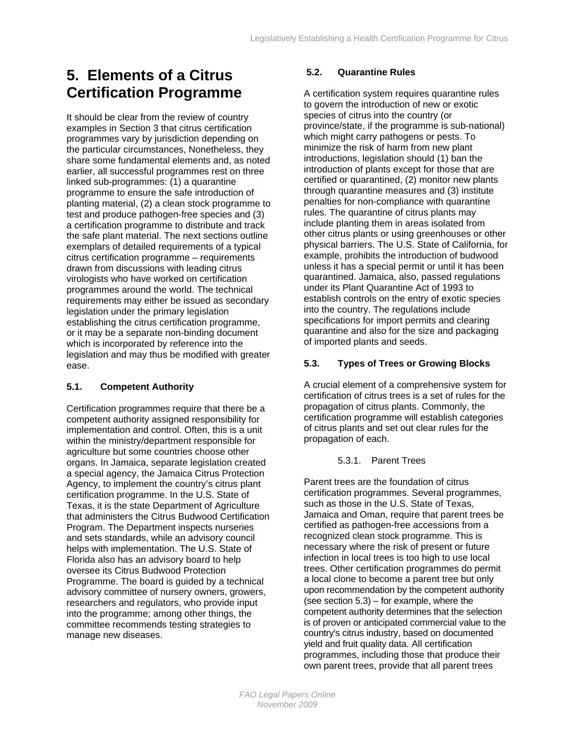# <span id="page-11-0"></span>**5. Elements of a Citrus Certification Programme**

It should be clear from the review of country examples in Section 3 that citrus certification programmes vary by jurisdiction depending on the particular circumstances, Nonetheless, they share some fundamental elements and, as noted earlier, all successful programmes rest on three linked sub-programmes: (1) a quarantine programme to ensure the safe introduction of planting material, (2) a clean stock programme to test and produce pathogen-free species and (3) a certification programme to distribute and track the safe plant material. The next sections outline exemplars of detailed requirements of a typical citrus certification programme – requirements drawn from discussions with leading citrus virologists who have worked on certification programmes around the world. The technical requirements may either be issued as secondary legislation under the primary legislation establishing the citrus certification programme, or it may be a separate non-binding document which is incorporated by reference into the legislation and may thus be modified with greater ease.

### **5.1. Competent Authority**

Certification programmes require that there be a competent authority assigned responsibility for implementation and control. Often, this is a unit within the ministry/department responsible for agriculture but some countries choose other organs. In Jamaica, separate legislation created a special agency, the Jamaica Citrus Protection Agency, to implement the country's citrus plant certification programme. In the U.S. State of Texas, it is the state Department of Agriculture that administers the Citrus Budwood Certification Program. The Department inspects nurseries and sets standards, while an advisory council helps with implementation. The U.S. State of Florida also has an advisory board to help oversee its Citrus Budwood Protection Programme. The board is guided by a technical advisory committee of nursery owners, growers, researchers and regulators, who provide input into the programme; among other things, the committee recommends testing strategies to manage new diseases.

### **5.2. Quarantine Rules**

A certification system requires quarantine rules to govern the introduction of new or exotic species of citrus into the country (or province/state, if the programme is sub-national) which might carry pathogens or pests. To minimize the risk of harm from new plant introductions, legislation should (1) ban the introduction of plants except for those that are certified or quarantined, (2) monitor new plants through quarantine measures and (3) institute penalties for non-compliance with quarantine rules. The quarantine of citrus plants may include planting them in areas isolated from other citrus plants or using greenhouses or other physical barriers. The U.S. State of California, for example, prohibits the introduction of budwood unless it has a special permit or until it has been quarantined. Jamaica, also, passed regulations under its Plant Quarantine Act of 1993 to establish controls on the entry of exotic species into the country. The regulations include specifications for import permits and clearing quarantine and also for the size and packaging of imported plants and seeds.

### **5.3. Types of Trees or Growing Blocks**

A crucial element of a comprehensive system for certification of citrus trees is a set of rules for the propagation of citrus plants. Commonly, the certification programme will establish categories of citrus plants and set out clear rules for the propagation of each.

#### 5.3.1. Parent Trees

Parent trees are the foundation of citrus certification programmes. Several programmes, such as those in the U.S. State of Texas, Jamaica and Oman, require that parent trees be certified as pathogen-free accessions from a recognized clean stock programme. This is necessary where the risk of present or future infection in local trees is too high to use local trees. Other certification programmes do permit a local clone to become a parent tree but only upon recommendation by the competent authority (see section  $5.3$ ) – for example, where the competent authority determines that the selection is of proven or anticipated commercial value to the country's citrus industry, based on documented yield and fruit quality data. All certification programmes, including those that produce their own parent trees, provide that all parent trees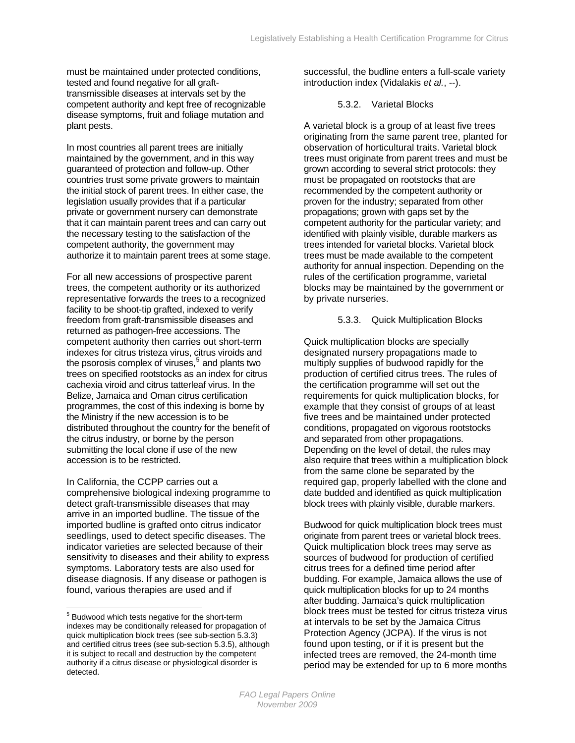<span id="page-12-0"></span>must be maintained under protected conditions, tested and found negative for all grafttransmissible diseases at intervals set by the competent authority and kept free of recognizable disease symptoms, fruit and foliage mutation and plant pests.

In most countries all parent trees are initially maintained by the government, and in this way guaranteed of protection and follow-up. Other countries trust some private growers to maintain the initial stock of parent trees. In either case, the legislation usually provides that if a particular private or government nursery can demonstrate that it can maintain parent trees and can carry out the necessary testing to the satisfaction of the competent authority, the government may authorize it to maintain parent trees at some stage.

For all new accessions of prospective parent trees, the competent authority or its authorized representative forwards the trees to a recognized facility to be shoot-tip grafted, indexed to verify freedom from graft-transmissible diseases and returned as pathogen-free accessions. The competent authority then carries out short-term indexes for citrus tristeza virus, citrus viroids and the psorosis complex of viruses,  $5$  and plants two trees on specified rootstocks as an index for citrus cachexia viroid and citrus tatterleaf virus. In the Belize, Jamaica and Oman citrus certification programmes, the cost of this indexing is borne by the Ministry if the new accession is to be distributed throughout the country for the benefit of the citrus industry, or borne by the person submitting the local clone if use of the new accession is to be restricted.

In California, the CCPP carries out a comprehensive biological indexing programme to detect graft-transmissible diseases that may arrive in an imported budline. The tissue of the imported budline is grafted onto citrus indicator seedlings, used to detect specific diseases. The indicator varieties are selected because of their sensitivity to diseases and their ability to express symptoms. Laboratory tests are also used for disease diagnosis. If any disease or pathogen is found, various therapies are used and if

 $\overline{a}$ 

successful, the budline enters a full-scale variety introduction index (Vidalakis *et al.*, --).

#### 5.3.2. Varietal Blocks

A varietal block is a group of at least five trees originating from the same parent tree, planted for observation of horticultural traits. Varietal block trees must originate from parent trees and must be grown according to several strict protocols: they must be propagated on rootstocks that are recommended by the competent authority or proven for the industry; separated from other propagations; grown with gaps set by the competent authority for the particular variety; and identified with plainly visible, durable markers as trees intended for varietal blocks. Varietal block trees must be made available to the competent authority for annual inspection. Depending on the rules of the certification programme, varietal blocks may be maintained by the government or by private nurseries.

#### 5.3.3. Quick Multiplication Blocks

Quick multiplication blocks are specially designated nursery propagations made to multiply supplies of budwood rapidly for the production of certified citrus trees. The rules of the certification programme will set out the requirements for quick multiplication blocks, for example that they consist of groups of at least five trees and be maintained under protected conditions, propagated on vigorous rootstocks and separated from other propagations. Depending on the level of detail, the rules may also require that trees within a multiplication block from the same clone be separated by the required gap, properly labelled with the clone and date budded and identified as quick multiplication block trees with plainly visible, durable markers.

Budwood for quick multiplication block trees must originate from parent trees or varietal block trees. Quick multiplication block trees may serve as sources of budwood for production of certified citrus trees for a defined time period after budding. For example, Jamaica allows the use of quick multiplication blocks for up to 24 months after budding. Jamaica's quick multiplication block trees must be tested for citrus tristeza virus at intervals to be set by the Jamaica Citrus Protection Agency (JCPA). If the virus is not found upon testing, or if it is present but the infected trees are removed, the 24-month time period may be extended for up to 6 more months

<span id="page-12-1"></span><sup>&</sup>lt;sup>5</sup> Budwood which tests negative for the short-term indexes may be conditionally released for propagation of quick multiplication block trees (see sub-section 5.3.3) and certified citrus trees (see sub-section 5.3.5), although it is subject to recall and destruction by the competent authority if a citrus disease or physiological disorder is detected.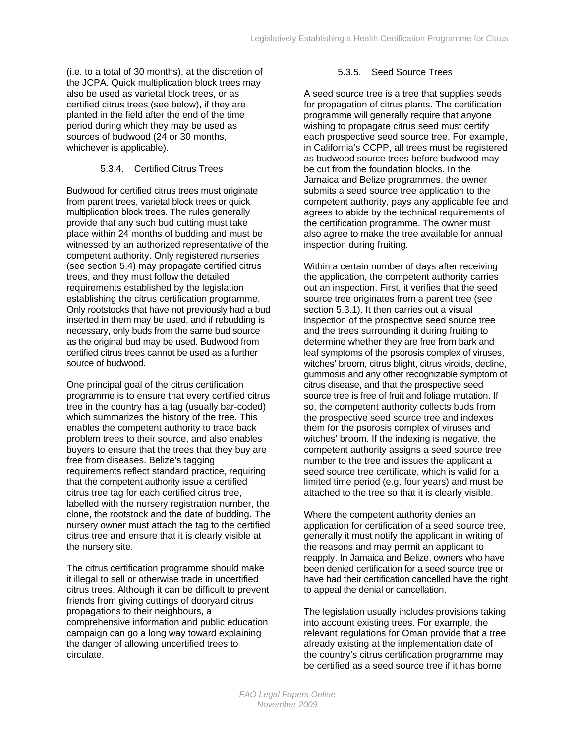<span id="page-13-0"></span>(i.e. to a total of 30 months), at the discretion of the JCPA. Quick multiplication block trees may also be used as varietal block trees, or as certified citrus trees (see below), if they are planted in the field after the end of the time period during which they may be used as sources of budwood (24 or 30 months, whichever is applicable).

#### 5.3.4. Certified Citrus Trees

Budwood for certified citrus trees must originate from parent trees, varietal block trees or quick multiplication block trees. The rules generally provide that any such bud cutting must take place within 24 months of budding and must be witnessed by an authorized representative of the competent authority. Only registered nurseries (see section 5.4) may propagate certified citrus trees, and they must follow the detailed requirements established by the legislation establishing the citrus certification programme. Only rootstocks that have not previously had a bud inserted in them may be used, and if rebudding is necessary, only buds from the same bud source as the original bud may be used. Budwood from certified citrus trees cannot be used as a further source of budwood.

One principal goal of the citrus certification programme is to ensure that every certified citrus tree in the country has a tag (usually bar-coded) which summarizes the history of the tree. This enables the competent authority to trace back problem trees to their source, and also enables buyers to ensure that the trees that they buy are free from diseases. Belize's tagging requirements reflect standard practice, requiring that the competent authority issue a certified citrus tree tag for each certified citrus tree, labelled with the nursery registration number, the clone, the rootstock and the date of budding. The nursery owner must attach the tag to the certified citrus tree and ensure that it is clearly visible at the nursery site.

The citrus certification programme should make it illegal to sell or otherwise trade in uncertified citrus trees. Although it can be difficult to prevent friends from giving cuttings of dooryard citrus propagations to their neighbours, a comprehensive information and public education campaign can go a long way toward explaining the danger of allowing uncertified trees to circulate.

#### 5.3.5. Seed Source Trees

A seed source tree is a tree that supplies seeds for propagation of citrus plants. The certification programme will generally require that anyone wishing to propagate citrus seed must certify each prospective seed source tree. For example, in California's CCPP, all trees must be registered as budwood source trees before budwood may be cut from the foundation blocks. In the Jamaica and Belize programmes, the owner submits a seed source tree application to the competent authority, pays any applicable fee and agrees to abide by the technical requirements of the certification programme. The owner must also agree to make the tree available for annual inspection during fruiting.

Within a certain number of days after receiving the application, the competent authority carries out an inspection. First, it verifies that the seed source tree originates from a parent tree (see section 5.3.1). It then carries out a visual inspection of the prospective seed source tree and the trees surrounding it during fruiting to determine whether they are free from bark and leaf symptoms of the psorosis complex of viruses, witches' broom, citrus blight, citrus viroids, decline, gummosis and any other recognizable symptom of citrus disease, and that the prospective seed source tree is free of fruit and foliage mutation. If so, the competent authority collects buds from the prospective seed source tree and indexes them for the psorosis complex of viruses and witches' broom. If the indexing is negative, the competent authority assigns a seed source tree number to the tree and issues the applicant a seed source tree certificate, which is valid for a limited time period (e.g. four years) and must be attached to the tree so that it is clearly visible.

Where the competent authority denies an application for certification of a seed source tree, generally it must notify the applicant in writing of the reasons and may permit an applicant to reapply. In Jamaica and Belize, owners who have been denied certification for a seed source tree or have had their certification cancelled have the right to appeal the denial or cancellation.

The legislation usually includes provisions taking into account existing trees. For example, the relevant regulations for Oman provide that a tree already existing at the implementation date of the country's citrus certification programme may be certified as a seed source tree if it has borne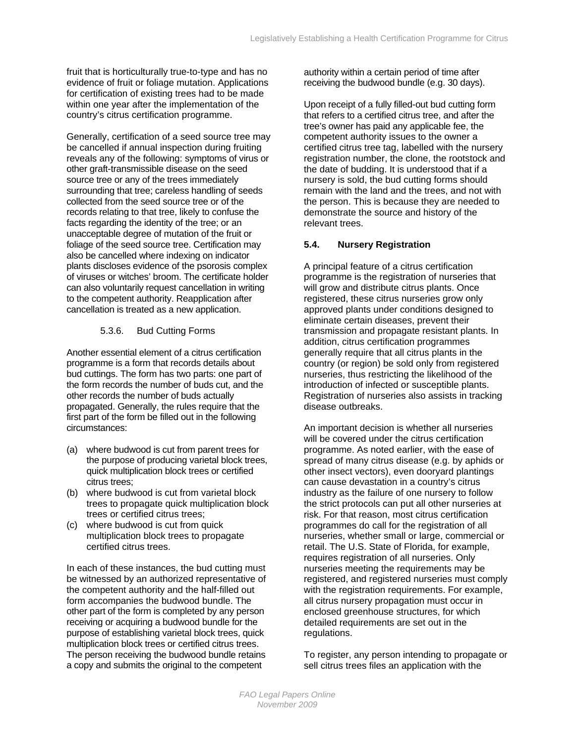fruit that is horticulturally true-to-type and has no evidence of fruit or foliage mutation. Applications for certification of existing trees had to be made within one year after the implementation of the country's citrus certification programme.

Generally, certification of a seed source tree may be cancelled if annual inspection during fruiting reveals any of the following: symptoms of virus or other graft-transmissible disease on the seed source tree or any of the trees immediately surrounding that tree; careless handling of seeds collected from the seed source tree or of the records relating to that tree, likely to confuse the facts regarding the identity of the tree; or an unacceptable degree of mutation of the fruit or foliage of the seed source tree. Certification may also be cancelled where indexing on indicator plants discloses evidence of the psorosis complex of viruses or witches' broom. The certificate holder can also voluntarily request cancellation in writing to the competent authority. Reapplication after cancellation is treated as a new application.

### 5.3.6. Bud Cutting Forms

Another essential element of a citrus certification programme is a form that records details about bud cuttings. The form has two parts: one part of the form records the number of buds cut, and the other records the number of buds actually propagated. Generally, the rules require that the first part of the form be filled out in the following circumstances:

- (a) where budwood is cut from parent trees for the purpose of producing varietal block trees, quick multiplication block trees or certified citrus trees;
- (b) where budwood is cut from varietal block trees to propagate quick multiplication block trees or certified citrus trees;
- (c) where budwood is cut from quick multiplication block trees to propagate certified citrus trees.

In each of these instances, the bud cutting must be witnessed by an authorized representative of the competent authority and the half-filled out form accompanies the budwood bundle. The other part of the form is completed by any person receiving or acquiring a budwood bundle for the purpose of establishing varietal block trees, quick multiplication block trees or certified citrus trees. The person receiving the budwood bundle retains a copy and submits the original to the competent

authority within a certain period of time after receiving the budwood bundle (e.g. 30 days).

Upon receipt of a fully filled-out bud cutting form that refers to a certified citrus tree, and after the tree's owner has paid any applicable fee, the competent authority issues to the owner a certified citrus tree tag, labelled with the nursery registration number, the clone, the rootstock and the date of budding. It is understood that if a nursery is sold, the bud cutting forms should remain with the land and the trees, and not with the person. This is because they are needed to demonstrate the source and history of the relevant trees.

### **5.4. Nursery Registration**

A principal feature of a citrus certification programme is the registration of nurseries that will grow and distribute citrus plants. Once registered, these citrus nurseries grow only approved plants under conditions designed to eliminate certain diseases, prevent their transmission and propagate resistant plants. In addition, citrus certification programmes generally require that all citrus plants in the country (or region) be sold only from registered nurseries, thus restricting the likelihood of the introduction of infected or susceptible plants. Registration of nurseries also assists in tracking disease outbreaks.

An important decision is whether all nurseries will be covered under the citrus certification programme. As noted earlier, with the ease of spread of many citrus disease (e.g. by aphids or other insect vectors), even dooryard plantings can cause devastation in a country's citrus industry as the failure of one nursery to follow the strict protocols can put all other nurseries at risk. For that reason, most citrus certification programmes do call for the registration of all nurseries, whether small or large, commercial or retail. The U.S. State of Florida, for example, requires registration of all nurseries. Only nurseries meeting the requirements may be registered, and registered nurseries must comply with the registration requirements. For example, all citrus nursery propagation must occur in enclosed greenhouse structures, for which detailed requirements are set out in the regulations.

To register, any person intending to propagate or sell citrus trees files an application with the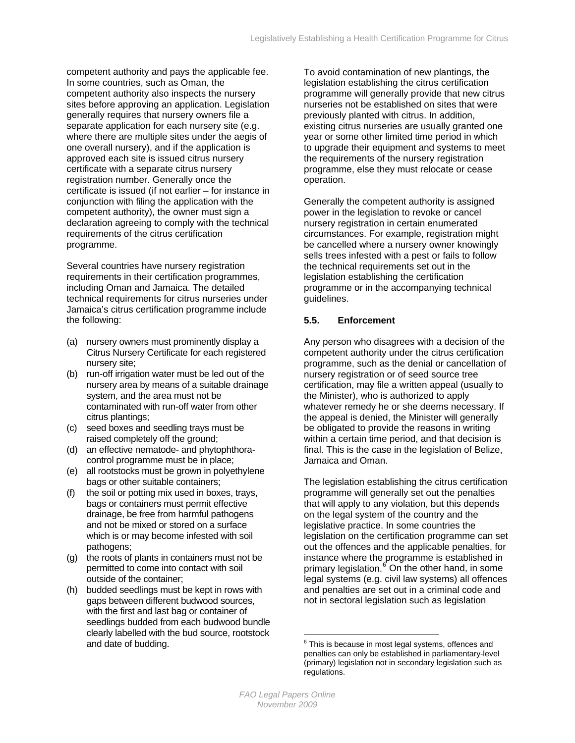<span id="page-15-0"></span>competent authority and pays the applicable fee. In some countries, such as Oman, the competent authority also inspects the nursery sites before approving an application. Legislation generally requires that nursery owners file a separate application for each nursery site (e.g. where there are multiple sites under the aegis of one overall nursery), and if the application is approved each site is issued citrus nursery certificate with a separate citrus nursery registration number. Generally once the certificate is issued (if not earlier – for instance in conjunction with filing the application with the competent authority), the owner must sign a declaration agreeing to comply with the technical requirements of the citrus certification programme.

Several countries have nursery registration requirements in their certification programmes, including Oman and Jamaica. The detailed technical requirements for citrus nurseries under Jamaica's citrus certification programme include the following:

- (a) nursery owners must prominently display a Citrus Nursery Certificate for each registered nursery site;
- (b) run-off irrigation water must be led out of the nursery area by means of a suitable drainage system, and the area must not be contaminated with run-off water from other citrus plantings;
- (c) seed boxes and seedling trays must be raised completely off the ground;
- (d) an effective nematode- and phytophthoracontrol programme must be in place;
- (e) all rootstocks must be grown in polyethylene bags or other suitable containers;
- (f) the soil or potting mix used in boxes, trays, bags or containers must permit effective drainage, be free from harmful pathogens and not be mixed or stored on a surface which is or may become infested with soil pathogens;
- (g) the roots of plants in containers must not be permitted to come into contact with soil outside of the container;
- <span id="page-15-1"></span>(h) budded seedlings must be kept in rows with gaps between different budwood sources, with the first and last bag or container of seedlings budded from each budwood bundle clearly labelled with the bud source, rootstock and date of budding.

To avoid contamination of new plantings, the legislation establishing the citrus certification programme will generally provide that new citrus nurseries not be established on sites that were previously planted with citrus. In addition, existing citrus nurseries are usually granted one year or some other limited time period in which to upgrade their equipment and systems to meet the requirements of the nursery registration programme, else they must relocate or cease operation.

Generally the competent authority is assigned power in the legislation to revoke or cancel nursery registration in certain enumerated circumstances. For example, registration might be cancelled where a nursery owner knowingly sells trees infested with a pest or fails to follow the technical requirements set out in the legislation establishing the certification programme or in the accompanying technical guidelines.

### **5.5. Enforcement**

Any person who disagrees with a decision of the competent authority under the citrus certification programme, such as the denial or cancellation of nursery registration or of seed source tree certification, may file a written appeal (usually to the Minister), who is authorized to apply whatever remedy he or she deems necessary. If the appeal is denied, the Minister will generally be obligated to provide the reasons in writing within a certain time period, and that decision is final. This is the case in the legislation of Belize, Jamaica and Oman.

The legislation establishing the citrus certification programme will generally set out the penalties that will apply to any violation, but this depends on the legal system of the country and the legislative practice. In some countries the legislation on the certification programme can set out the offences and the applicable penalties, for instance where the programme is established in primary legislation.<sup>[6](#page-15-1)</sup> On the other hand, in some legal systems (e.g. civil law systems) all offences and penalties are set out in a criminal code and not in sectoral legislation such as legislation

 $\overline{a}$ 

<sup>&</sup>lt;sup>6</sup> This is because in most legal systems, offences and penalties can only be established in parliamentary-level (primary) legislation not in secondary legislation such as regulations.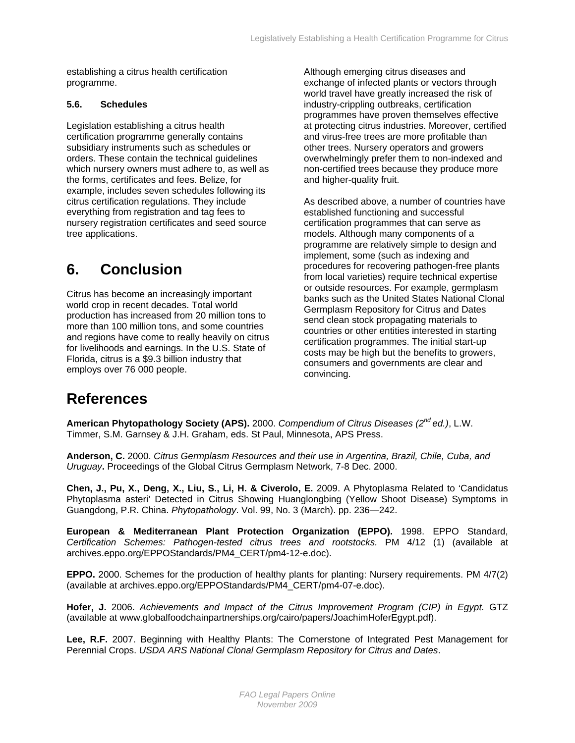<span id="page-16-0"></span>establishing a citrus health certification programme.

#### **5.6. Schedules**

Legislation establishing a citrus health certification programme generally contains subsidiary instruments such as schedules or orders. These contain the technical guidelines which nursery owners must adhere to, as well as the forms, certificates and fees. Belize, for example, includes seven schedules following its citrus certification regulations. They include everything from registration and tag fees to nursery registration certificates and seed source tree applications.

## **6. Conclusion**

Citrus has become an increasingly important world crop in recent decades. Total world production has increased from 20 million tons to more than 100 million tons, and some countries and regions have come to really heavily on citrus for livelihoods and earnings. In the U.S. State of Florida, citrus is a \$9.3 billion industry that employs over 76 000 people.

Although emerging citrus diseases and exchange of infected plants or vectors through world travel have greatly increased the risk of industry-crippling outbreaks, certification programmes have proven themselves effective at protecting citrus industries. Moreover, certified and virus-free trees are more profitable than other trees. Nursery operators and growers overwhelmingly prefer them to non-indexed and non-certified trees because they produce more and higher-quality fruit.

As described above, a number of countries have established functioning and successful certification programmes that can serve as models. Although many components of a programme are relatively simple to design and implement, some (such as indexing and procedures for recovering pathogen-free plants from local varieties) require technical expertise or outside resources. For example, germplasm banks such as the United States National Clonal Germplasm Repository for Citrus and Dates send clean stock propagating materials to countries or other entities interested in starting certification programmes. The initial start-up costs may be high but the benefits to growers, consumers and governments are clear and convincing.

## **References**

**American Phytopathology Society (APS).** 2000. *Compendium of Citrus Diseases (2nd ed.)*, L.W. Timmer, S.M. Garnsey & J.H. Graham, eds. St Paul, Minnesota, APS Press.

**Anderson, C.** 2000. *Citrus Germplasm Resources and their use in Argentina, Brazil, Chile, Cuba, and Uruguay***.** Proceedings of the Global Citrus Germplasm Network, 7-8 Dec. 2000.

**Chen, J., Pu, X., Deng, X., Liu, S., Li, H. & Civerolo, E.** 2009. A Phytoplasma Related to 'Candidatus Phytoplasma asteri' Detected in Citrus Showing Huanglongbing (Yellow Shoot Disease) Symptoms in Guangdong, P.R. China. *Phytopathology*. Vol. 99, No. 3 (March). pp. 236—242.

**European & Mediterranean Plant Protection Organization (EPPO).** 1998. EPPO Standard, *Certification Schemes: Pathogen-tested citrus trees and rootstocks.* PM 4/12 (1) (available at archives.eppo.org/EPPOStandards/PM4\_CERT/pm4-12-e.doc).

**EPPO.** 2000. Schemes for the production of healthy plants for planting: Nursery requirements. PM 4/7(2) (available at archives.eppo.org/EPPOStandards/PM4\_CERT/pm4-07-e.doc).

**Hofer, J.** 2006. *Achievements and Impact of the Citrus Improvement Program (CIP) in Egypt.* GTZ (available at www.globalfoodchainpartnerships.org/cairo/papers/JoachimHoferEgypt.pdf).

**Lee, R.F.** 2007. Beginning with Healthy Plants: The Cornerstone of Integrated Pest Management for Perennial Crops. *USDA ARS National Clonal Germplasm Repository for Citrus and Dates*.